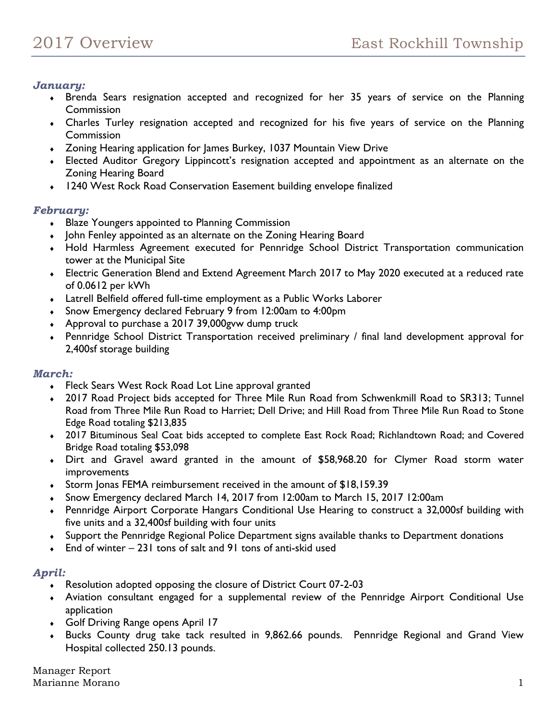# *January:*

- Brenda Sears resignation accepted and recognized for her 35 years of service on the Planning **Commission**
- Charles Turley resignation accepted and recognized for his five years of service on the Planning **Commission**
- Zoning Hearing application for James Burkey, 1037 Mountain View Drive
- Elected Auditor Gregory Lippincott's resignation accepted and appointment as an alternate on the Zoning Hearing Board
- 1240 West Rock Road Conservation Easement building envelope finalized

# *February:*

- **Blaze Youngers appointed to Planning Commission**
- John Fenley appointed as an alternate on the Zoning Hearing Board
- Hold Harmless Agreement executed for Pennridge School District Transportation communication tower at the Municipal Site
- Electric Generation Blend and Extend Agreement March 2017 to May 2020 executed at a reduced rate of 0.0612 per kWh
- Latrell Belfield offered full-time employment as a Public Works Laborer
- Snow Emergency declared February 9 from 12:00am to 4:00pm
- Approval to purchase a 2017 39,000gvw dump truck
- Pennridge School District Transportation received preliminary / final land development approval for 2,400sf storage building

### *March:*

- Fleck Sears West Rock Road Lot Line approval granted
- 2017 Road Project bids accepted for Three Mile Run Road from Schwenkmill Road to SR313; Tunnel Road from Three Mile Run Road to Harriet; Dell Drive; and Hill Road from Three Mile Run Road to Stone Edge Road totaling \$213,835
- 2017 Bituminous Seal Coat bids accepted to complete East Rock Road; Richlandtown Road; and Covered Bridge Road totaling \$53,098
- Dirt and Gravel award granted in the amount of \$58,968.20 for Clymer Road storm water improvements
- Storm Jonas FEMA reimbursement received in the amount of \$18,159.39
- Snow Emergency declared March 14, 2017 from 12:00am to March 15, 2017 12:00am
- Pennridge Airport Corporate Hangars Conditional Use Hearing to construct a 32,000sf building with five units and a 32,400sf building with four units
- Support the Pennridge Regional Police Department signs available thanks to Department donations
- $\bullet$  End of winter 231 tons of salt and 91 tons of anti-skid used

# *April:*

- Resolution adopted opposing the closure of District Court 07-2-03
- Aviation consultant engaged for a supplemental review of the Pennridge Airport Conditional Use application
- Golf Driving Range opens April 17
- Bucks County drug take tack resulted in 9,862.66 pounds. Pennridge Regional and Grand View Hospital collected 250.13 pounds.

Manager Report Marianne Morano 1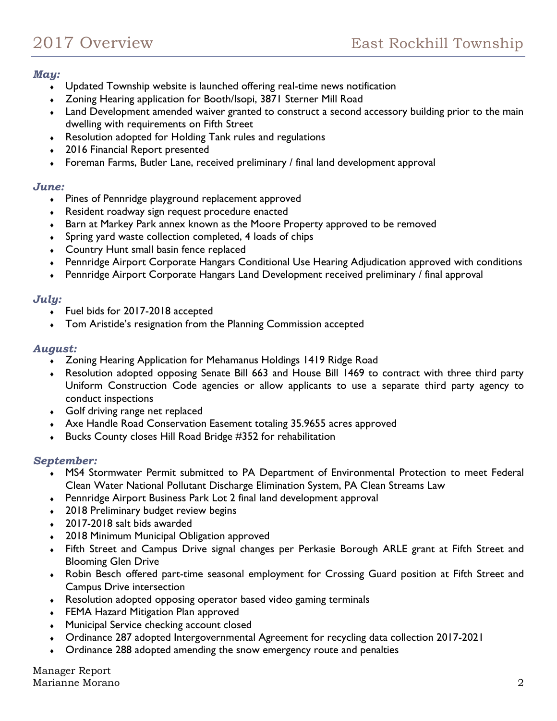### *May:*

- Updated Township website is launched offering real-time news notification
- Zoning Hearing application for Booth/Isopi, 3871 Sterner Mill Road
- Land Development amended waiver granted to construct a second accessory building prior to the main dwelling with requirements on Fifth Street
- Resolution adopted for Holding Tank rules and regulations
- 2016 Financial Report presented
- Foreman Farms, Butler Lane, received preliminary / final land development approval

#### *June:*

- Pines of Pennridge playground replacement approved
- Resident roadway sign request procedure enacted
- Barn at Markey Park annex known as the Moore Property approved to be removed
- Spring yard waste collection completed, 4 loads of chips
- Country Hunt small basin fence replaced
- Pennridge Airport Corporate Hangars Conditional Use Hearing Adjudication approved with conditions
- Pennridge Airport Corporate Hangars Land Development received preliminary / final approval

#### *July:*

- Fuel bids for 2017-2018 accepted
- Tom Aristide's resignation from the Planning Commission accepted

#### *August:*

- Zoning Hearing Application for Mehamanus Holdings 1419 Ridge Road
- Resolution adopted opposing Senate Bill 663 and House Bill 1469 to contract with three third party Uniform Construction Code agencies or allow applicants to use a separate third party agency to conduct inspections
- Golf driving range net replaced
- Axe Handle Road Conservation Easement totaling 35.9655 acres approved
- Bucks County closes Hill Road Bridge #352 for rehabilitation

### *September:*

- MS4 Stormwater Permit submitted to PA Department of Environmental Protection to meet Federal Clean Water National Pollutant Discharge Elimination System, PA Clean Streams Law
- Pennridge Airport Business Park Lot 2 final land development approval
- ◆ 2018 Preliminary budget review begins
- 2017-2018 salt bids awarded
- 2018 Minimum Municipal Obligation approved
- Fifth Street and Campus Drive signal changes per Perkasie Borough ARLE grant at Fifth Street and Blooming Glen Drive
- Robin Besch offered part-time seasonal employment for Crossing Guard position at Fifth Street and Campus Drive intersection
- Resolution adopted opposing operator based video gaming terminals
- FEMA Hazard Mitigation Plan approved
- Municipal Service checking account closed
- Ordinance 287 adopted Intergovernmental Agreement for recycling data collection 2017-2021
- Ordinance 288 adopted amending the snow emergency route and penalties

Manager Report Marianne Morano 2